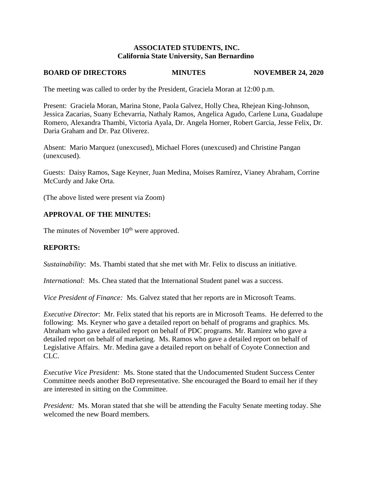## **ASSOCIATED STUDENTS, INC. California State University, San Bernardino**

# **BOARD OF DIRECTORS MINUTES NOVEMBER 24, 2020**

The meeting was called to order by the President, Graciela Moran at 12:00 p.m.

Present: Graciela Moran, Marina Stone, Paola Galvez, Holly Chea, Rhejean King-Johnson, Jessica Zacarias, Suany Echevarria, Nathaly Ramos, Angelica Agudo, Carlene Luna, Guadalupe Romero, Alexandra Thambi, Victoria Ayala, Dr. Angela Horner, Robert Garcia, Jesse Felix, Dr. Daria Graham and Dr. Paz Oliverez.

Absent: Mario Marquez (unexcused), Michael Flores (unexcused) and Christine Pangan (unexcused).

Guests: Daisy Ramos, Sage Keyner, Juan Medina, Moises Ramírez, Vianey Abraham, Corrine McCurdy and Jake Orta.

(The above listed were present via Zoom)

## **APPROVAL OF THE MINUTES:**

The minutes of November  $10<sup>th</sup>$  were approved.

## **REPORTS:**

*Sustainability*: Ms. Thambi stated that she met with Mr. Felix to discuss an initiative.

*International:* Ms. Chea stated that the International Student panel was a success.

*Vice President of Finance:* Ms. Galvez stated that her reports are in Microsoft Teams.

*Executive Director*: Mr. Felix stated that his reports are in Microsoft Teams. He deferred to the following: Ms. Keyner who gave a detailed report on behalf of programs and graphics. Ms. Abraham who gave a detailed report on behalf of PDC programs. Mr. Ramirez who gave a detailed report on behalf of marketing. Ms. Ramos who gave a detailed report on behalf of Legislative Affairs. Mr. Medina gave a detailed report on behalf of Coyote Connection and CLC.

*Executive Vice President:* Ms. Stone stated that the Undocumented Student Success Center Committee needs another BoD representative. She encouraged the Board to email her if they are interested in sitting on the Committee.

*President:* Ms. Moran stated that she will be attending the Faculty Senate meeting today. She welcomed the new Board members.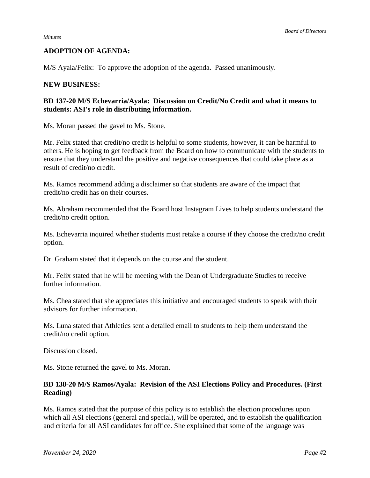#### *Minutes*

## **ADOPTION OF AGENDA:**

M/S Ayala/Felix: To approve the adoption of the agenda. Passed unanimously.

### **NEW BUSINESS:**

## **BD 137-20 M/S Echevarria/Ayala: Discussion on Credit/No Credit and what it means to students: ASI's role in distributing information.**

Ms. Moran passed the gavel to Ms. Stone.

Mr. Felix stated that credit/no credit is helpful to some students, however, it can be harmful to others. He is hoping to get feedback from the Board on how to communicate with the students to ensure that they understand the positive and negative consequences that could take place as a result of credit/no credit.

Ms. Ramos recommend adding a disclaimer so that students are aware of the impact that credit/no credit has on their courses.

Ms. Abraham recommended that the Board host Instagram Lives to help students understand the credit/no credit option.

Ms. Echevarria inquired whether students must retake a course if they choose the credit/no credit option.

Dr. Graham stated that it depends on the course and the student.

Mr. Felix stated that he will be meeting with the Dean of Undergraduate Studies to receive further information.

Ms. Chea stated that she appreciates this initiative and encouraged students to speak with their advisors for further information.

Ms. Luna stated that Athletics sent a detailed email to students to help them understand the credit/no credit option.

Discussion closed.

Ms. Stone returned the gavel to Ms. Moran.

## **BD 138-20 M/S Ramos/Ayala: Revision of the ASI Elections Policy and Procedures. (First Reading)**

Ms. Ramos stated that the purpose of this policy is to establish the election procedures upon which all ASI elections (general and special), will be operated, and to establish the qualification and criteria for all ASI candidates for office. She explained that some of the language was